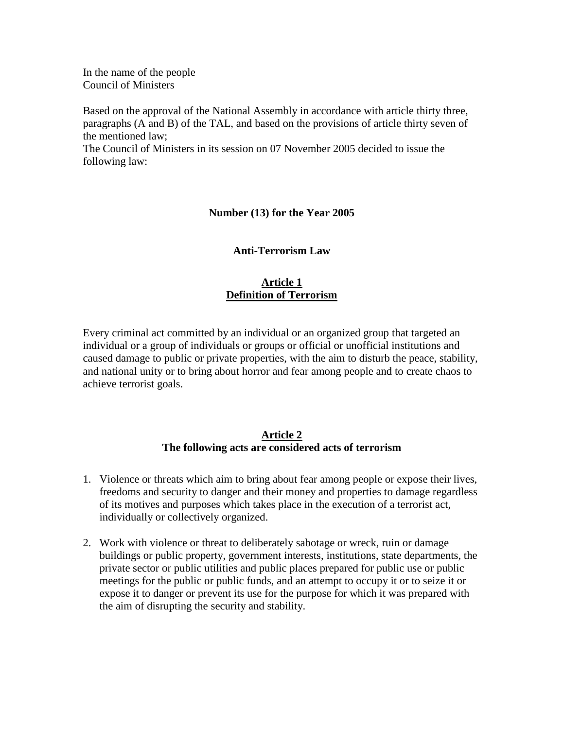In the name of the people Council of Ministers

Based on the approval of the National Assembly in accordance with article thirty three, paragraphs (A and B) of the TAL, and based on the provisions of article thirty seven of the mentioned law;

The Council of Ministers in its session on 07 November 2005 decided to issue the following law:

### **Number (13) for the Year 2005**

#### **Anti-Terrorism Law**

## **Article 1 Definition of Terrorism**

Every criminal act committed by an individual or an organized group that targeted an individual or a group of individuals or groups or official or unofficial institutions and caused damage to public or private properties, with the aim to disturb the peace, stability, and national unity or to bring about horror and fear among people and to create chaos to achieve terrorist goals.

#### **Article 2 The following acts are considered acts of terrorism**

- 1. Violence or threats which aim to bring about fear among people or expose their lives, freedoms and security to danger and their money and properties to damage regardless of its motives and purposes which takes place in the execution of a terrorist act, individually or collectively organized.
- 2. Work with violence or threat to deliberately sabotage or wreck, ruin or damage buildings or public property, government interests, institutions, state departments, the private sector or public utilities and public places prepared for public use or public meetings for the public or public funds, and an attempt to occupy it or to seize it or expose it to danger or prevent its use for the purpose for which it was prepared with the aim of disrupting the security and stability.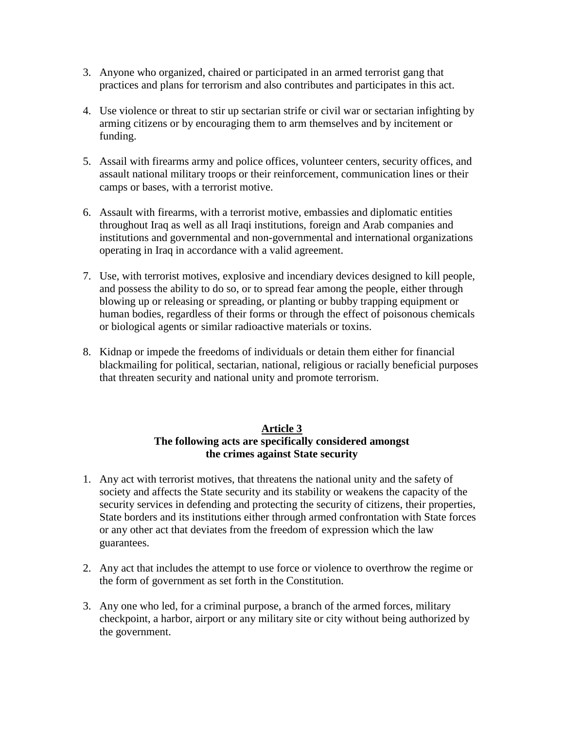- 3. Anyone who organized, chaired or participated in an armed terrorist gang that practices and plans for terrorism and also contributes and participates in this act.
- 4. Use violence or threat to stir up sectarian strife or civil war or sectarian infighting by arming citizens or by encouraging them to arm themselves and by incitement or funding.
- 5. Assail with firearms army and police offices, volunteer centers, security offices, and assault national military troops or their reinforcement, communication lines or their camps or bases, with a terrorist motive.
- 6. Assault with firearms, with a terrorist motive, embassies and diplomatic entities throughout Iraq as well as all Iraqi institutions, foreign and Arab companies and institutions and governmental and non-governmental and international organizations operating in Iraq in accordance with a valid agreement.
- 7. Use, with terrorist motives, explosive and incendiary devices designed to kill people, and possess the ability to do so, or to spread fear among the people, either through blowing up or releasing or spreading, or planting or bubby trapping equipment or human bodies, regardless of their forms or through the effect of poisonous chemicals or biological agents or similar radioactive materials or toxins.
- 8. Kidnap or impede the freedoms of individuals or detain them either for financial blackmailing for political, sectarian, national, religious or racially beneficial purposes that threaten security and national unity and promote terrorism.

# **Article 3 The following acts are specifically considered amongst the crimes against State security**

- 1. Any act with terrorist motives, that threatens the national unity and the safety of society and affects the State security and its stability or weakens the capacity of the security services in defending and protecting the security of citizens, their properties, State borders and its institutions either through armed confrontation with State forces or any other act that deviates from the freedom of expression which the law guarantees.
- 2. Any act that includes the attempt to use force or violence to overthrow the regime or the form of government as set forth in the Constitution.
- 3. Any one who led, for a criminal purpose, a branch of the armed forces, military checkpoint, a harbor, airport or any military site or city without being authorized by the government.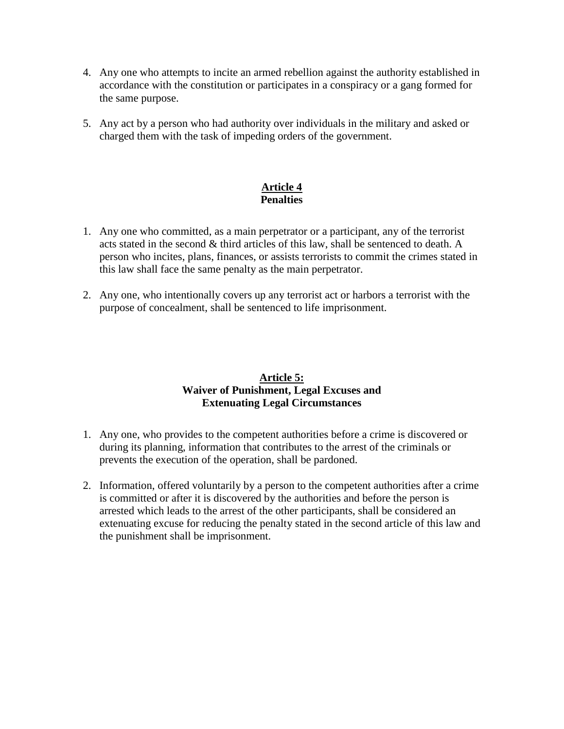- 4. Any one who attempts to incite an armed rebellion against the authority established in accordance with the constitution or participates in a conspiracy or a gang formed for the same purpose.
- 5. Any act by a person who had authority over individuals in the military and asked or charged them with the task of impeding orders of the government.

# **Article 4 Penalties**

- 1. Any one who committed, as a main perpetrator or a participant, any of the terrorist acts stated in the second & third articles of this law, shall be sentenced to death. A person who incites, plans, finances, or assists terrorists to commit the crimes stated in this law shall face the same penalty as the main perpetrator.
- 2. Any one, who intentionally covers up any terrorist act or harbors a terrorist with the purpose of concealment, shall be sentenced to life imprisonment.

# **Article 5: Waiver of Punishment, Legal Excuses and Extenuating Legal Circumstances**

- 1. Any one, who provides to the competent authorities before a crime is discovered or during its planning, information that contributes to the arrest of the criminals or prevents the execution of the operation, shall be pardoned.
- 2. Information, offered voluntarily by a person to the competent authorities after a crime is committed or after it is discovered by the authorities and before the person is arrested which leads to the arrest of the other participants, shall be considered an extenuating excuse for reducing the penalty stated in the second article of this law and the punishment shall be imprisonment.